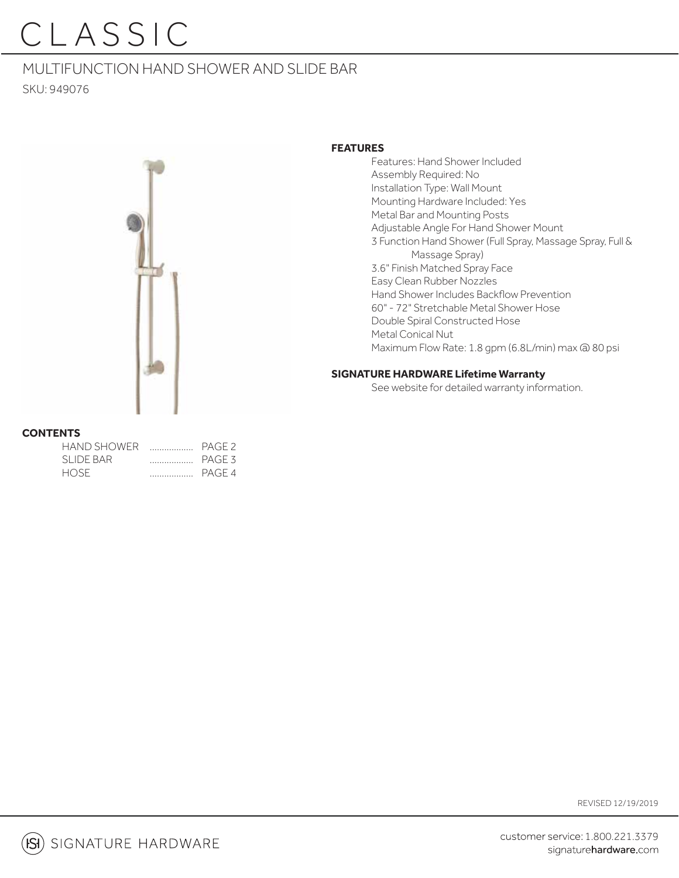MULTIFUNCTION HAND SHOWER AND SLIDE BAR SKU: 949076



#### **FEATURES**

 Features: Hand Shower Included Assembly Required: No Installation Type: Wall Mount Mounting Hardware Included: Yes Metal Bar and Mounting Posts Adjustable Angle For Hand Shower Mount 3 Function Hand Shower (Full Spray, Massage Spray, Full & Massage Spray) 3.6" Finish Matched Spray Face Easy Clean Rubber Nozzles Hand Shower Includes Backflow Prevention 60" - 72" Stretchable Metal Shower Hose Double Spiral Constructed Hose Metal Conical Nut Maximum Flow Rate: 1.8 gpm (6.8L/min) max @ 80 psi

#### **SIGNATURE HARDWARE Lifetime Warranty**

See website for detailed warranty information.

#### **CONTENTS**

| HAND SHOWER | PAGE 2 |
|-------------|--------|
| SLIDE BAR   | PAGE 3 |
| HOSE.       | PAGE 4 |

REVISED 12/19/2019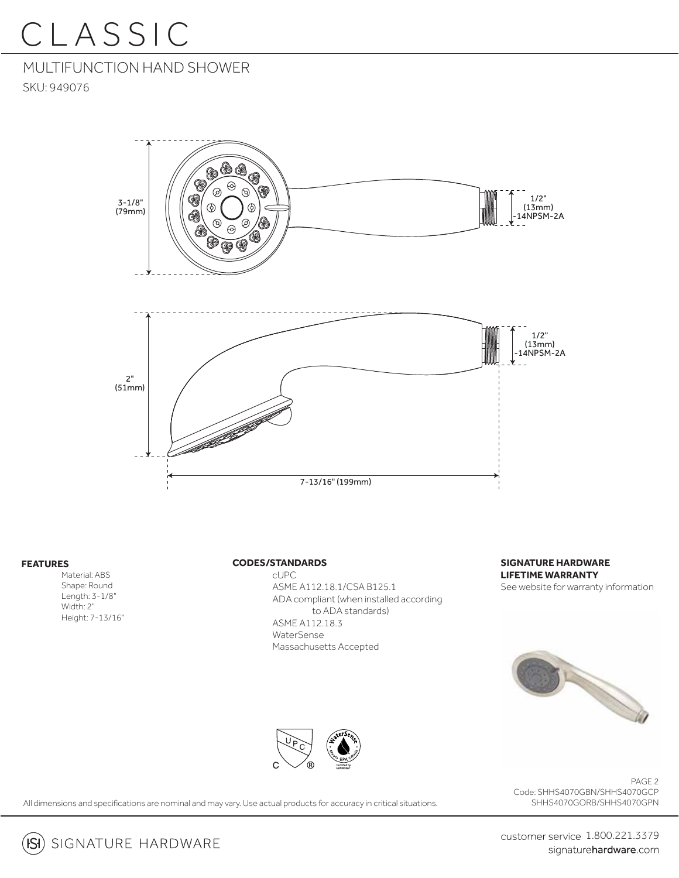### MULTIFUNCTION HAND SHOWER

SKU: 949076



#### **FEATURES**

 $\overline{\mathsf{ISI}}$ 

 Material: ABS Shape: Round Length: 3-1/8" Width: 2" Height: 7-13/16"

#### **CODES/STANDARDS**

 cUPC ASME A112.18.1/CSA B125.1 ADA compliant (when installed according to ADA standards) ASME A112.18.3 WaterSense Massachusetts Accepted

**SIGNATURE HARDWARE LIFETIME WARRANTY** See website for warranty information





PAGE 2 Code: SHHS4070GBN/SHHS4070GCP SHHS4070GORB/SHHS4070GPN

All dimensions and specifications are nominal and may vary. Use actual products for accuracy in critical situations.

SIGNATURE HARDWARE

customer service 1.800.221.3379 signaturehardware.com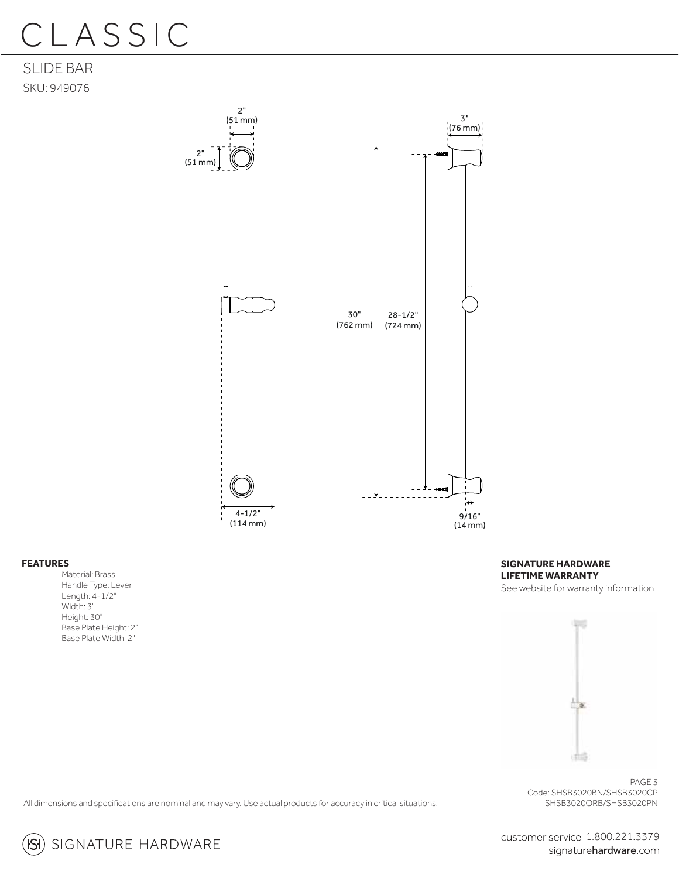SLIDE BAR SKU: 949076



#### **FEATURES**

Material: Brass Handle Type: Lever Length: 4-1/2" Width: 3" Height: 30" Base Plate Height: 2" Base Plate Width: 2"

**SIGNATURE HARDWARE LIFETIME WARRANTY** See website for warranty information



PAGE 3 Code: SHSB3020BN/SHSB3020CP SHSB3020ORB/SHSB3020PN

All dimensions and specifications are nominal and may vary. Use actual products for accuracy in critical situations.